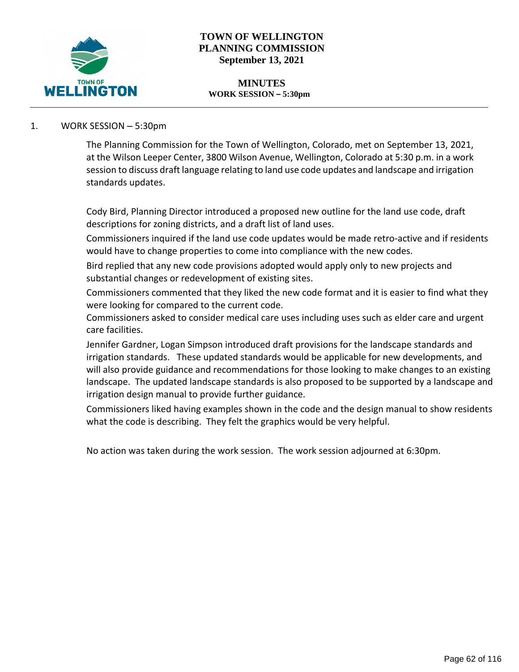

# **TOWN OF WELLINGTON PLANNING COMMISSION September 13, 2021**

#### **MINUTES WORK SESSION – 5:30pm**

# 1. WORK SESSION – 5:30pm

The Planning Commission for the Town of Wellington, Colorado, met on September 13, 2021, at the Wilson Leeper Center, 3800 Wilson Avenue, Wellington, Colorado at 5:30 p.m. in a work session to discuss draft language relating to land use code updates and landscape and irrigation standards updates.

Cody Bird, Planning Director introduced a proposed new outline for the land use code, draft descriptions for zoning districts, and a draft list of land uses.

Commissioners inquired if the land use code updates would be made retro-active and if residents would have to change properties to come into compliance with the new codes.

Bird replied that any new code provisions adopted would apply only to new projects and substantial changes or redevelopment of existing sites.

Commissioners commented that they liked the new code format and it is easier to find what they were looking for compared to the current code.

Commissioners asked to consider medical care uses including uses such as elder care and urgent care facilities.

Jennifer Gardner, Logan Simpson introduced draft provisions for the landscape standards and irrigation standards. These updated standards would be applicable for new developments, and will also provide guidance and recommendations for those looking to make changes to an existing landscape. The updated landscape standards is also proposed to be supported by a landscape and irrigation design manual to provide further guidance.

Commissioners liked having examples shown in the code and the design manual to show residents what the code is describing. They felt the graphics would be very helpful.

No action was taken during the work session. The work session adjourned at 6:30pm.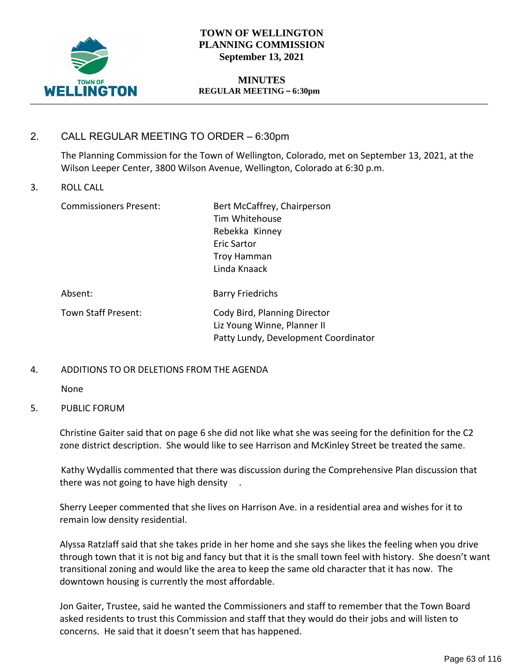

# **TOWN OF WELLINGTON PLANNING COMMISSION September 13, 2021**

## **MINUTES REGULAR MEETING – 6:30pm**

# 2. CALL REGULAR MEETING TO ORDER – 6:30pm

The Planning Commission for the Town of Wellington, Colorado, met on September 13, 2021, at the Wilson Leeper Center, 3800 Wilson Avenue, Wellington, Colorado at 6:30 p.m.

## 3. ROLL CALL

Commissioners Present: Bert McCaffrey, Chairperson Tim Whitehouse Rebekka Kinney Eric Sartor Troy Hamman Linda Knaack

| Absent:             | <b>Barry Friedrichs</b>                                     |
|---------------------|-------------------------------------------------------------|
| Town Staff Present: | Cody Bird, Planning Director<br>Liz Young Winne, Planner II |
|                     | Patty Lundy, Development Coordinator                        |

## 4. ADDITIONS TO OR DELETIONS FROM THE AGENDA

None

## 5. PUBLIC FORUM

Christine Gaiter said that on page 6 she did not like what she was seeing for the definition for the C2 zone district description. She would like to see Harrison and McKinley Street be treated the same.

Kathy Wydallis commented that there was discussion during the Comprehensive Plan discussion that there was not going to have high density .

Sherry Leeper commented that she lives on Harrison Ave. in a residential area and wishes for it to remain low density residential.

Alyssa Ratzlaff said that she takes pride in her home and she says she likes the feeling when you drive through town that it is not big and fancy but that it is the small town feel with history. She doesn't want transitional zoning and would like the area to keep the same old character that it has now. The downtown housing is currently the most affordable.

Jon Gaiter, Trustee, said he wanted the Commissioners and staff to remember that the Town Board asked residents to trust this Commission and staff that they would do their jobs and will listen to concerns. He said that it doesn't seem that has happened.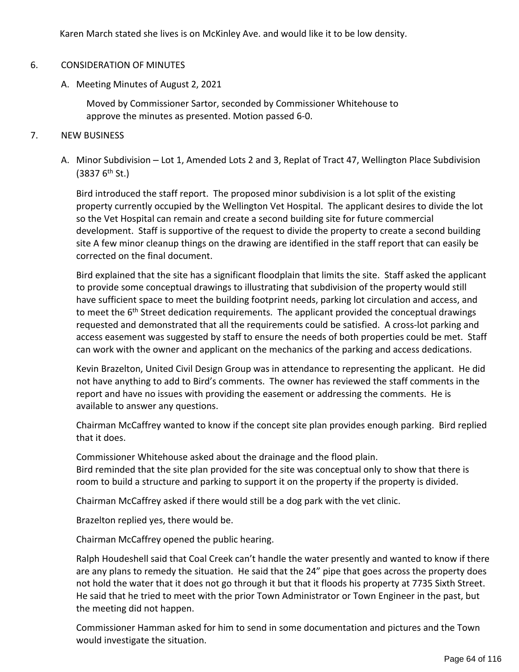Karen March stated she lives is on McKinley Ave. and would like it to be low density.

## 6. CONSIDERATION OF MINUTES

A. Meeting Minutes of August 2, 2021

Moved by Commissioner Sartor, seconded by Commissioner Whitehouse to approve the minutes as presented. Motion passed 6-0.

### 7. NEW BUSINESS

A. Minor Subdivision – Lot 1, Amended Lots 2 and 3, Replat of Tract 47, Wellington Place Subdivision  $(3837 6<sup>th</sup> St.)$ 

Bird introduced the staff report. The proposed minor subdivision is a lot split of the existing property currently occupied by the Wellington Vet Hospital. The applicant desires to divide the lot so the Vet Hospital can remain and create a second building site for future commercial development. Staff is supportive of the request to divide the property to create a second building site A few minor cleanup things on the drawing are identified in the staff report that can easily be corrected on the final document.

Bird explained that the site has a significant floodplain that limits the site. Staff asked the applicant to provide some conceptual drawings to illustrating that subdivision of the property would still have sufficient space to meet the building footprint needs, parking lot circulation and access, and to meet the 6<sup>th</sup> Street dedication requirements. The applicant provided the conceptual drawings requested and demonstrated that all the requirements could be satisfied. A cross-lot parking and access easement was suggested by staff to ensure the needs of both properties could be met. Staff can work with the owner and applicant on the mechanics of the parking and access dedications.

Kevin Brazelton, United Civil Design Group was in attendance to representing the applicant. He did not have anything to add to Bird's comments. The owner has reviewed the staff comments in the report and have no issues with providing the easement or addressing the comments. He is available to answer any questions.

Chairman McCaffrey wanted to know if the concept site plan provides enough parking. Bird replied that it does.

Commissioner Whitehouse asked about the drainage and the flood plain. Bird reminded that the site plan provided for the site was conceptual only to show that there is room to build a structure and parking to support it on the property if the property is divided.

Chairman McCaffrey asked if there would still be a dog park with the vet clinic.

Brazelton replied yes, there would be.

Chairman McCaffrey opened the public hearing.

Ralph Houdeshell said that Coal Creek can't handle the water presently and wanted to know if there are any plans to remedy the situation. He said that the 24" pipe that goes across the property does not hold the water that it does not go through it but that it floods his property at 7735 Sixth Street. He said that he tried to meet with the prior Town Administrator or Town Engineer in the past, but the meeting did not happen.

Commissioner Hamman asked for him to send in some documentation and pictures and the Town would investigate the situation.